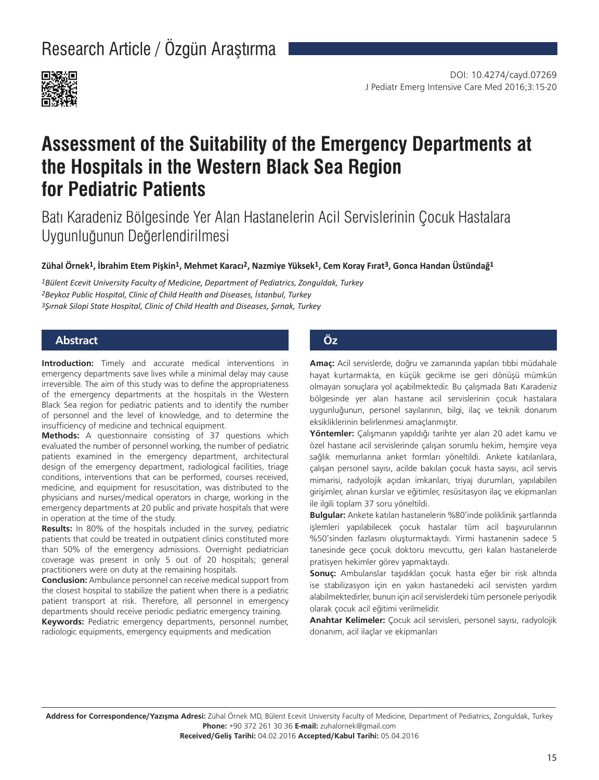Research Article / Özgün Araştırma



# **Assessment of the Suitability of the Emergency Departments at the Hospitals in the Western Black Sea Region for Pediatric Patients**

Batı Karadeniz Bölgesinde Yer Alan Hastanelerin Acil Servislerinin Çocuk Hastalara Uygunluğunun Değerlendirilmesi

**Zühal Örnek1, İbrahim Etem Pişkin1, Mehmet Karacı2, Nazmiye Yüksek1, Cem Koray Fırat3, Gonca Handan Üstündağ1**

*1Bülent Ecevit University Faculty of Medicine, Department of Pediatrics, Zonguldak, Turkey 2Beykoz Public Hospital, Clinic of Child Health and Diseases, İstanbul, Turkey 3Şırnak Silopi State Hospital, Clinic of Child Health and Diseases, Şırnak, Turkey*

## **Abstract Öz**

**Introduction:** Timely and accurate medical interventions in emergency departments save lives while a minimal delay may cause irreversible. The aim of this study was to define the appropriateness of the emergency departments at the hospitals in the Western Black Sea region for pediatric patients and to identify the number of personnel and the level of knowledge, and to determine the insufficiency of medicine and technical equipment.

**Methods:** A questionnaire consisting of 37 questions which evaluated the number of personnel working, the number of pediatric patients examined in the emergency department, architectural design of the emergency department, radiological facilities, triage conditions, interventions that can be performed, courses received, medicine, and equipment for resuscitation, was distributed to the physicians and nurses/medical operators in charge, working in the emergency departments at 20 public and private hospitals that were in operation at the time of the study.

**Results:** In 80% of the hospitals included in the survey, pediatric patients that could be treated in outpatient clinics constituted more than 50% of the emergency admissions. Overnight pediatrician coverage was present in only 5 out of 20 hospitals; general practitioners were on duty at the remaining hospitals.

**Conclusion:** Ambulance personnel can receive medical support from the closest hospital to stabilize the patient when there is a pediatric patient transport at risk. Therefore, all personnel in emergency departments should receive periodic pediatric emergency training.

**Keywords:** Pediatric emergency departments, personnel number, radiologic equipments, emergency equipments and medication

**Amaç:** Acil servislerde, doğru ve zamanında yapılan tıbbi müdahale hayat kurtarmakta, en küçük gecikme ise geri dönüşü mümkün olmayan sonuçlara yol açabilmektedir. Bu çalışmada Batı Karadeniz bölgesinde yer alan hastane acil servislerinin çocuk hastalara uygunluğunun, personel sayılarının, bilgi, ilaç ve teknik donanım eksikliklerinin belirlenmesi amaçlanmıştır.

**Yöntemler:** Çalışmanın yapıldığı tarihte yer alan 20 adet kamu ve özel hastane acil servislerinde çalışan sorumlu hekim, hemşire veya sağlık memurlarına anket formları yöneltildi. Ankete katılanlara, çalışan personel sayısı, acilde bakılan çocuk hasta sayısı, acil servis mimarisi, radyolojik açıdan imkanları, triyaj durumları, yapılabilen girişimler, alınan kurslar ve eğitimler, resüsitasyon ilaç ve ekipmanları ile ilgili toplam 37 soru yöneltildi.

**Bulgular:** Ankete katılan hastanelerin %80'inde poliklinik şartlarında işlemleri yapılabilecek çocuk hastalar tüm acil başvurularının %50'sinden fazlasını oluşturmaktaydı. Yirmi hastanenin sadece 5 tanesinde gece çocuk doktoru mevcuttu, geri kalan hastanelerde pratisyen hekimler görev yapmaktaydı.

**Sonuç:** Ambulanslar taşıdıkları çocuk hasta eğer bir risk altında ise stabilizasyon için en yakın hastanedeki acil servisten yardım alabilmektedirler, bunun için acil servislerdeki tüm personele periyodik olarak çocuk acil eğitimi verilmelidir.

**Anahtar Kelimeler:** Çocuk acil servisleri, personel sayısı, radyolojik donanım, acil ilaçlar ve ekipmanları

**Address for Correspondence/Yazışma Adresi:** Zühal Örnek MD, Bülent Ecevit University Faculty of Medicine, Department of Pediatrics, Zonguldak, Turkey **Phone:** +90 372 261 30 36 **E-mail:** zuhalornek@gmail.com **Received/Geliş Tarihi:** 04.02.2016 **Accepted/Kabul Tarihi:** 05.04.2016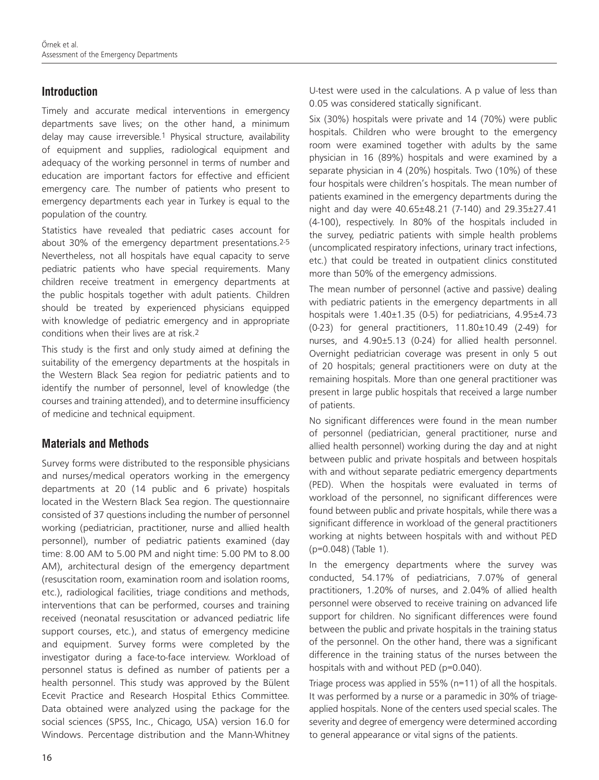### **Introduction**

Timely and accurate medical interventions in emergency departments save lives; on the other hand, a minimum delay may cause irreversible.1 Physical structure, availability of equipment and supplies, radiological equipment and adequacy of the working personnel in terms of number and education are important factors for effective and efficient emergency care. The number of patients who present to emergency departments each year in Turkey is equal to the population of the country.

Statistics have revealed that pediatric cases account for about 30% of the emergency department presentations.2-5 Nevertheless, not all hospitals have equal capacity to serve pediatric patients who have special requirements. Many children receive treatment in emergency departments at the public hospitals together with adult patients. Children should be treated by experienced physicians equipped with knowledge of pediatric emergency and in appropriate conditions when their lives are at risk.2

This study is the first and only study aimed at defining the suitability of the emergency departments at the hospitals in the Western Black Sea region for pediatric patients and to identify the number of personnel, level of knowledge (the courses and training attended), and to determine insufficiency of medicine and technical equipment.

# **Materials and Methods**

Survey forms were distributed to the responsible physicians and nurses/medical operators working in the emergency departments at 20 (14 public and 6 private) hospitals located in the Western Black Sea region. The questionnaire consisted of 37 questions including the number of personnel working (pediatrician, practitioner, nurse and allied health personnel), number of pediatric patients examined (day time: 8.00 AM to 5.00 PM and night time: 5.00 PM to 8.00 AM), architectural design of the emergency department (resuscitation room, examination room and isolation rooms, etc.), radiological facilities, triage conditions and methods, interventions that can be performed, courses and training received (neonatal resuscitation or advanced pediatric life support courses, etc.), and status of emergency medicine and equipment. Survey forms were completed by the investigator during a face-to-face interview. Workload of personnel status is defined as number of patients per a health personnel. This study was approved by the Bülent Ecevit Practice and Research Hospital Ethics Committee. Data obtained were analyzed using the package for the social sciences (SPSS, Inc., Chicago, USA) version 16.0 for Windows. Percentage distribution and the Mann-Whitney U-test were used in the calculations. A p value of less than 0.05 was considered statically significant.

Six (30%) hospitals were private and 14 (70%) were public hospitals. Children who were brought to the emergency room were examined together with adults by the same physician in 16 (89%) hospitals and were examined by a separate physician in 4 (20%) hospitals. Two (10%) of these four hospitals were children's hospitals. The mean number of patients examined in the emergency departments during the night and day were 40.65±48.21 (7-140) and 29.35±27.41 (4-100), respectively. In 80% of the hospitals included in the survey, pediatric patients with simple health problems (uncomplicated respiratory infections, urinary tract infections, etc.) that could be treated in outpatient clinics constituted more than 50% of the emergency admissions.

The mean number of personnel (active and passive) dealing with pediatric patients in the emergency departments in all hospitals were 1.40±1.35 (0-5) for pediatricians, 4.95±4.73 (0-23) for general practitioners, 11.80±10.49 (2-49) for nurses, and 4.90±5.13 (0-24) for allied health personnel. Overnight pediatrician coverage was present in only 5 out of 20 hospitals; general practitioners were on duty at the remaining hospitals. More than one general practitioner was present in large public hospitals that received a large number of patients.

No significant differences were found in the mean number of personnel (pediatrician, general practitioner, nurse and allied health personnel) working during the day and at night between public and private hospitals and between hospitals with and without separate pediatric emergency departments (PED). When the hospitals were evaluated in terms of workload of the personnel, no significant differences were found between public and private hospitals, while there was a significant difference in workload of the general practitioners working at nights between hospitals with and without PED (p=0.048) (Table 1).

In the emergency departments where the survey was conducted, 54.17% of pediatricians, 7.07% of general practitioners, 1.20% of nurses, and 2.04% of allied health personnel were observed to receive training on advanced life support for children. No significant differences were found between the public and private hospitals in the training status of the personnel. On the other hand, there was a significant difference in the training status of the nurses between the hospitals with and without PED (p=0.040).

Triage process was applied in 55% (n=11) of all the hospitals. It was performed by a nurse or a paramedic in 30% of triageapplied hospitals. None of the centers used special scales. The severity and degree of emergency were determined according to general appearance or vital signs of the patients.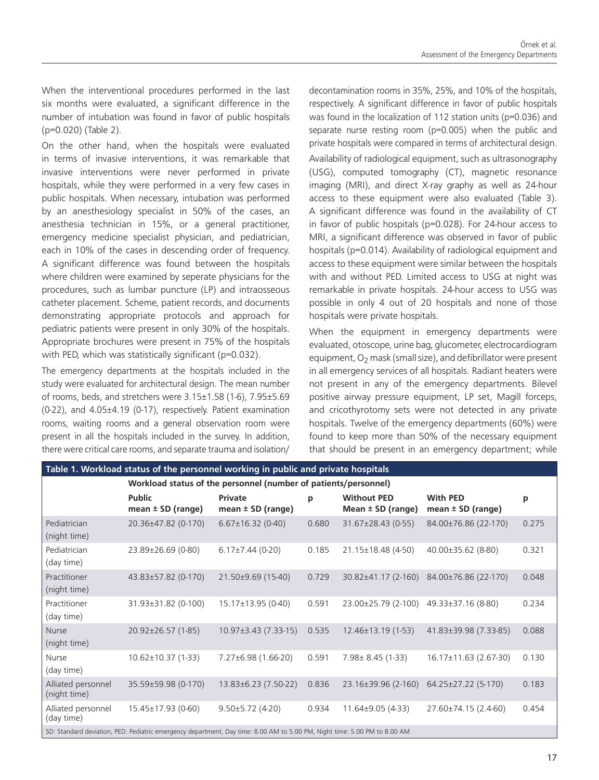When the interventional procedures performed in the last six months were evaluated, a significant difference in the number of intubation was found in favor of public hospitals (p=0.020) (Table 2).

On the other hand, when the hospitals were evaluated in terms of invasive interventions, it was remarkable that invasive interventions were never performed in private hospitals, while they were performed in a very few cases in public hospitals. When necessary, intubation was performed by an anesthesiology specialist in 50% of the cases, an anesthesia technician in 15%, or a general practitioner, emergency medicine specialist physician, and pediatrician, each in 10% of the cases in descending order of frequency. A significant difference was found between the hospitals where children were examined by seperate physicians for the procedures, such as lumbar puncture (LP) and intraosseous catheter placement. Scheme, patient records, and documents demonstrating appropriate protocols and approach for pediatric patients were present in only 30% of the hospitals. Appropriate brochures were present in 75% of the hospitals with PED, which was statistically significant (p=0.032).

The emergency departments at the hospitals included in the study were evaluated for architectural design. The mean number of rooms, beds, and stretchers were 3.15±1.58 (1-6), 7.95±5.69 (0-22), and 4.05±4.19 (0-17), respectively. Patient examination rooms, waiting rooms and a general observation room were present in all the hospitals included in the survey. In addition, there were critical care rooms, and separate trauma and isolation/

decontamination rooms in 35%, 25%, and 10% of the hospitals, respectively. A significant difference in favor of public hospitals was found in the localization of 112 station units (p=0.036) and separate nurse resting room (p=0.005) when the public and private hospitals were compared in terms of architectural design. Availability of radiological equipment, such as ultrasonography (USG), computed tomography (CT), magnetic resonance imaging (MRI), and direct X-ray graphy as well as 24-hour access to these equipment were also evaluated (Table 3). A significant difference was found in the availability of CT in favor of public hospitals (p=0.028). For 24-hour access to MRI, a significant difference was observed in favor of public hospitals (p=0.014). Availability of radiological equipment and access to these equipment were similar between the hospitals with and without PED. Limited access to USG at night was remarkable in private hospitals. 24-hour access to USG was possible in only 4 out of 20 hospitals and none of those hospitals were private hospitals.

When the equipment in emergency departments were evaluated, otoscope, urine bag, glucometer, electrocardiogram equipment,  $O<sub>2</sub>$  mask (small size), and defibrillator were present in all emergency services of all hospitals. Radiant heaters were not present in any of the emergency departments. Bilevel positive airway pressure equipment, LP set, Magill forceps, and cricothyrotomy sets were not detected in any private hospitals. Twelve of the emergency departments (60%) were found to keep more than 50% of the necessary equipment that should be present in an emergency department; while

| Table 1. Workload status of the personnel working in public and private hospitals                                         |                                                                 |                                  |       |                                             |                                          |       |  |  |
|---------------------------------------------------------------------------------------------------------------------------|-----------------------------------------------------------------|----------------------------------|-------|---------------------------------------------|------------------------------------------|-------|--|--|
|                                                                                                                           | Workload status of the personnel (number of patients/personnel) |                                  |       |                                             |                                          |       |  |  |
|                                                                                                                           | <b>Public</b><br>mean $\pm$ SD (range)                          | Private<br>mean $\pm$ SD (range) | p     | <b>Without PED</b><br>Mean $\pm$ SD (range) | <b>With PED</b><br>mean $\pm$ SD (range) | p     |  |  |
| Pediatrician<br>(night time)                                                                                              | 20.36±47.82 (0-170)                                             | $6.67 \pm 16.32$ (0-40)          | 0.680 | 31.67±28.43 (0-55)                          | 84.00±76.86 (22-170)                     | 0.275 |  |  |
| Pediatrician<br>(day time)                                                                                                | 23.89±26.69 (0-80)                                              | $6.17\pm7.44(0-20)$              | 0.185 | 21.15±18.48 (4-50)                          | 40.00±35.62 (8-80)                       | 0.321 |  |  |
| Practitioner<br>(night time)                                                                                              | 43.83±57.82 (0-170)                                             | 21.50±9.69 (15-40)               | 0.729 | 30.82±41.17 (2-160)                         | 84.00±76.86 (22-170)                     | 0.048 |  |  |
| Practitioner<br>(day time)                                                                                                | 31.93±31.82 (0-100)                                             | 15.17±13.95 (0-40)               | 0.591 | 23.00±25.79 (2-100)                         | 49.33±37.16 (8-80)                       | 0.234 |  |  |
| <b>Nurse</b><br>(night time)                                                                                              | 20.92±26.57 (1-85)                                              | $10.97 \pm 3.43$ (7.33-15)       | 0.535 | 12.46±13.19 (1-53)                          | 41.83±39.98 (7.33-85)                    | 0.088 |  |  |
| Nurse<br>(day time)                                                                                                       | $10.62 \pm 10.37$ (1-33)                                        | $7.27\pm6.98(1.66-20)$           | 0.591 | $7.98 \pm 8.45(1-33)$                       | 16.17±11.63 (2.67-30)                    | 0.130 |  |  |
| Alliated personnel<br>(night time)                                                                                        | 35.59±59.98 (0-170)                                             | 13.83±6.23 (7.50-22)             | 0.836 | 23.16±39.96 (2-160)                         | 64.25±27.22 (5-170)                      | 0.183 |  |  |
| Alliated personnel<br>(day time)                                                                                          | 15.45±17.93 (0-60)                                              | $9.50 \pm 5.72$ (4-20)           | 0.934 | $11.64\pm9.05(4-33)$                        | 27.60±74.15 (2.4-60)                     | 0.454 |  |  |
| SD: Standard deviation, PED: Pediatric emergency department, Day time: 8.00 AM to 5.00 PM, Night time: 5.00 PM to 8.00 AM |                                                                 |                                  |       |                                             |                                          |       |  |  |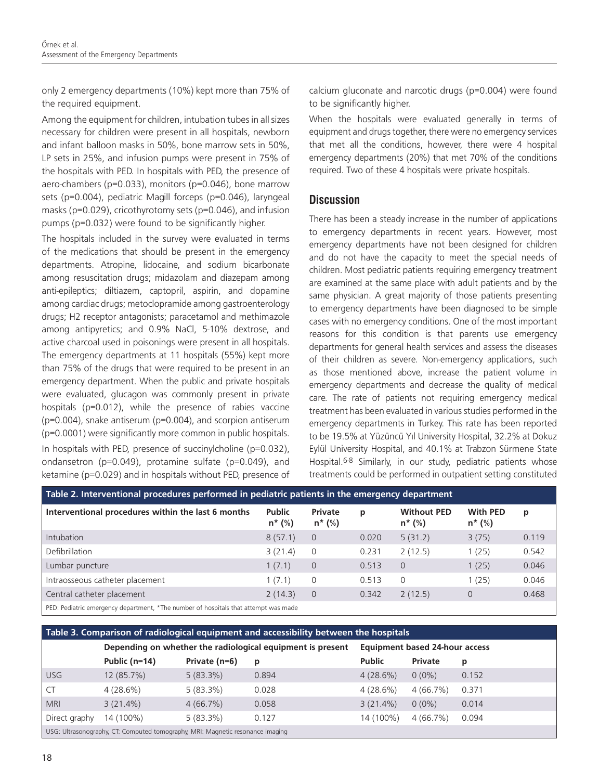only 2 emergency departments (10%) kept more than 75% of the required equipment.

Among the equipment for children, intubation tubes in all sizes necessary for children were present in all hospitals, newborn and infant balloon masks in 50%, bone marrow sets in 50%, LP sets in 25%, and infusion pumps were present in 75% of the hospitals with PED. In hospitals with PED, the presence of aero-chambers (p=0.033), monitors (p=0.046), bone marrow sets (p=0.004), pediatric Magill forceps (p=0.046), laryngeal masks (p=0.029), cricothyrotomy sets (p=0.046), and infusion pumps (p=0.032) were found to be significantly higher.

The hospitals included in the survey were evaluated in terms of the medications that should be present in the emergency departments. Atropine, lidocaine, and sodium bicarbonate among resuscitation drugs; midazolam and diazepam among anti-epileptics; diltiazem, captopril, aspirin, and dopamine among cardiac drugs; metoclopramide among gastroenterology drugs; H2 receptor antagonists; paracetamol and methimazole among antipyretics; and 0.9% NaCl, 5-10% dextrose, and active charcoal used in poisonings were present in all hospitals. The emergency departments at 11 hospitals (55%) kept more than 75% of the drugs that were required to be present in an emergency department. When the public and private hospitals were evaluated, glucagon was commonly present in private hospitals (p=0.012), while the presence of rabies vaccine (p=0.004), snake antiserum (p=0.004), and scorpion antiserum (p=0.0001) were significantly more common in public hospitals. In hospitals with PED, presence of succinylcholine (p=0.032), ondansetron (p=0.049), protamine sulfate (p=0.049), and ketamine (p=0.029) and in hospitals without PED, presence of calcium gluconate and narcotic drugs (p=0.004) were found to be significantly higher.

When the hospitals were evaluated generally in terms of equipment and drugs together, there were no emergency services that met all the conditions, however, there were 4 hospital emergency departments (20%) that met 70% of the conditions required. Two of these 4 hospitals were private hospitals.

### **Discussion**

There has been a steady increase in the number of applications to emergency departments in recent years. However, most emergency departments have not been designed for children and do not have the capacity to meet the special needs of children. Most pediatric patients requiring emergency treatment are examined at the same place with adult patients and by the same physician. A great majority of those patients presenting to emergency departments have been diagnosed to be simple cases with no emergency conditions. One of the most important reasons for this condition is that parents use emergency departments for general health services and assess the diseases of their children as severe. Non-emergency applications, such as those mentioned above, increase the patient volume in emergency departments and decrease the quality of medical care. The rate of patients not requiring emergency medical treatment has been evaluated in various studies performed in the emergency departments in Turkey. This rate has been reported to be 19.5% at Yüzüncü Yıl University Hospital, 32.2% at Dokuz Eylül University Hospital, and 40.1% at Trabzon Sürmene State Hospital.6-8 Similarly, in our study, pediatric patients whose treatments could be performed in outpatient setting constituted

| Table 2. Interventional procedures performed in pediatric patients in the emergency department |                            |                       |       |                                 |                               |       |  |  |
|------------------------------------------------------------------------------------------------|----------------------------|-----------------------|-------|---------------------------------|-------------------------------|-------|--|--|
| Interventional procedures within the last 6 months                                             | <b>Public</b><br>$n^*$ (%) | Private<br>$n * (\%)$ | p     | <b>Without PED</b><br>$n^*$ (%) | <b>With PED</b><br>$n * (\%)$ | p     |  |  |
| Intubation                                                                                     | 8(57.1)                    | $\overline{0}$        | 0.020 | 5(31.2)                         | 3(75)                         | 0.119 |  |  |
| Defibrillation                                                                                 | 3(21.4)                    | 0                     | 0.231 | 2(12.5)                         | 1(25)                         | 0.542 |  |  |
| Lumbar puncture                                                                                | 1(7.1)                     | $\overline{0}$        | 0.513 | $\Omega$                        | 1(25)                         | 0.046 |  |  |
| Intraosseous catheter placement                                                                | 1(7.1)                     | 0                     | 0.513 | $\Omega$                        | 1(25)                         | 0.046 |  |  |
| Central catheter placement                                                                     | 2(14.3)                    | $\overline{0}$        | 0.342 | 2(12.5)                         | 0                             | 0.468 |  |  |
| PED: Pediatric emergency department, *The number of hospitals that attempt was made            |                            |                       |       |                                 |                               |       |  |  |

| Table 3. Comparison of radiological equipment and accessibility between the hospitals |                 |                                                            |       |               |                                |       |  |  |
|---------------------------------------------------------------------------------------|-----------------|------------------------------------------------------------|-------|---------------|--------------------------------|-------|--|--|
|                                                                                       |                 | Depending on whether the radiological equipment is present |       |               | Equipment based 24-hour access |       |  |  |
|                                                                                       | Public $(n=14)$ | Private (n=6)                                              | р     | <b>Public</b> | <b>Private</b>                 | р     |  |  |
| USG                                                                                   | 12 (85.7%)      | $5(83.3\%)$                                                | 0.894 | $4(28.6\%)$   | $0(0\%)$                       | 0.152 |  |  |
| . CT                                                                                  | $4(28.6\%)$     | $5(83.3\%)$                                                | 0.028 | $4(28.6\%)$   | $4(66.7\%)$                    | 0.371 |  |  |
| <b>MRI</b>                                                                            | $3(21.4\%)$     | $4(66.7\%)$                                                | 0.058 | $3(21.4\%)$   | $0(0\%)$                       | 0.014 |  |  |
| Direct graphy                                                                         | 14 (100%)       | $5(83.3\%)$                                                | 0.127 | 14 (100%)     | $4(66.7\%)$                    | 0.094 |  |  |
| USG: Ultrasonography, CT: Computed tomography, MRI: Magnetic resonance imaging        |                 |                                                            |       |               |                                |       |  |  |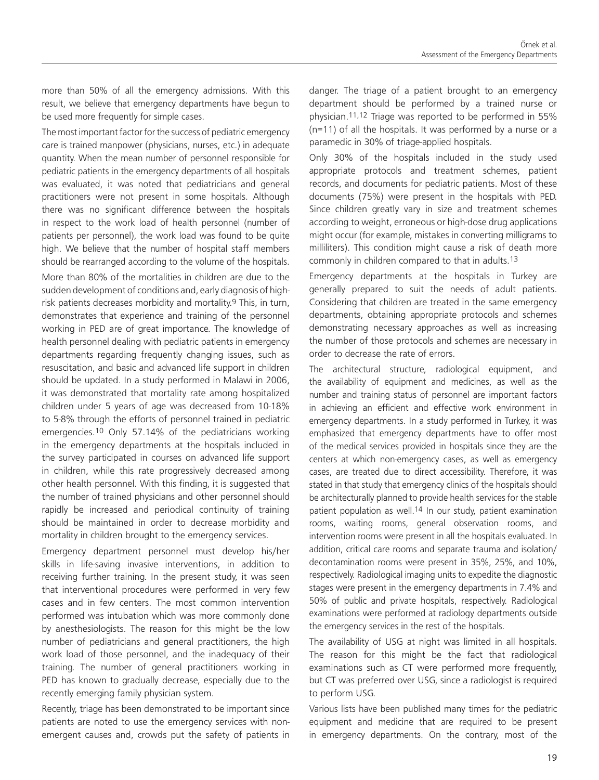more than 50% of all the emergency admissions. With this result, we believe that emergency departments have begun to be used more frequently for simple cases.

The most important factor for the success of pediatric emergency care is trained manpower (physicians, nurses, etc.) in adequate quantity. When the mean number of personnel responsible for pediatric patients in the emergency departments of all hospitals was evaluated, it was noted that pediatricians and general practitioners were not present in some hospitals. Although there was no significant difference between the hospitals in respect to the work load of health personnel (number of patients per personnel), the work load was found to be quite high. We believe that the number of hospital staff members should be rearranged according to the volume of the hospitals.

More than 80% of the mortalities in children are due to the sudden development of conditions and, early diagnosis of highrisk patients decreases morbidity and mortality.<sup>9</sup> This, in turn, demonstrates that experience and training of the personnel working in PED are of great importance. The knowledge of health personnel dealing with pediatric patients in emergency departments regarding frequently changing issues, such as resuscitation, and basic and advanced life support in children should be updated. In a study performed in Malawi in 2006, it was demonstrated that mortality rate among hospitalized children under 5 years of age was decreased from 10-18% to 5-8% through the efforts of personnel trained in pediatric emergencies.10 Only 57.14% of the pediatricians working in the emergency departments at the hospitals included in the survey participated in courses on advanced life support in children, while this rate progressively decreased among other health personnel. With this finding, it is suggested that the number of trained physicians and other personnel should rapidly be increased and periodical continuity of training should be maintained in order to decrease morbidity and mortality in children brought to the emergency services.

Emergency department personnel must develop his/her skills in life-saving invasive interventions, in addition to receiving further training. In the present study, it was seen that interventional procedures were performed in very few cases and in few centers. The most common intervention performed was intubation which was more commonly done by anesthesiologists. The reason for this might be the low number of pediatricians and general practitioners, the high work load of those personnel, and the inadequacy of their training. The number of general practitioners working in PED has known to gradually decrease, especially due to the recently emerging family physician system.

Recently, triage has been demonstrated to be important since patients are noted to use the emergency services with nonemergent causes and, crowds put the safety of patients in danger. The triage of a patient brought to an emergency department should be performed by a trained nurse or physician.11,12 Triage was reported to be performed in 55% (n=11) of all the hospitals. It was performed by a nurse or a paramedic in 30% of triage-applied hospitals.

Only 30% of the hospitals included in the study used appropriate protocols and treatment schemes, patient records, and documents for pediatric patients. Most of these documents (75%) were present in the hospitals with PED. Since children greatly vary in size and treatment schemes according to weight, erroneous or high-dose drug applications might occur (for example, mistakes in converting milligrams to milliliters). This condition might cause a risk of death more commonly in children compared to that in adults.13

Emergency departments at the hospitals in Turkey are generally prepared to suit the needs of adult patients. Considering that children are treated in the same emergency departments, obtaining appropriate protocols and schemes demonstrating necessary approaches as well as increasing the number of those protocols and schemes are necessary in order to decrease the rate of errors.

The architectural structure, radiological equipment, and the availability of equipment and medicines, as well as the number and training status of personnel are important factors in achieving an efficient and effective work environment in emergency departments. In a study performed in Turkey, it was emphasized that emergency departments have to offer most of the medical services provided in hospitals since they are the centers at which non-emergency cases, as well as emergency cases, are treated due to direct accessibility. Therefore, it was stated in that study that emergency clinics of the hospitals should be architecturally planned to provide health services for the stable patient population as well.<sup>14</sup> In our study, patient examination rooms, waiting rooms, general observation rooms, and intervention rooms were present in all the hospitals evaluated. In addition, critical care rooms and separate trauma and isolation/ decontamination rooms were present in 35%, 25%, and 10%, respectively. Radiological imaging units to expedite the diagnostic stages were present in the emergency departments in 7.4% and 50% of public and private hospitals, respectively. Radiological examinations were performed at radiology departments outside the emergency services in the rest of the hospitals.

The availability of USG at night was limited in all hospitals. The reason for this might be the fact that radiological examinations such as CT were performed more frequently, but CT was preferred over USG, since a radiologist is required to perform USG.

Various lists have been published many times for the pediatric equipment and medicine that are required to be present in emergency departments. On the contrary, most of the